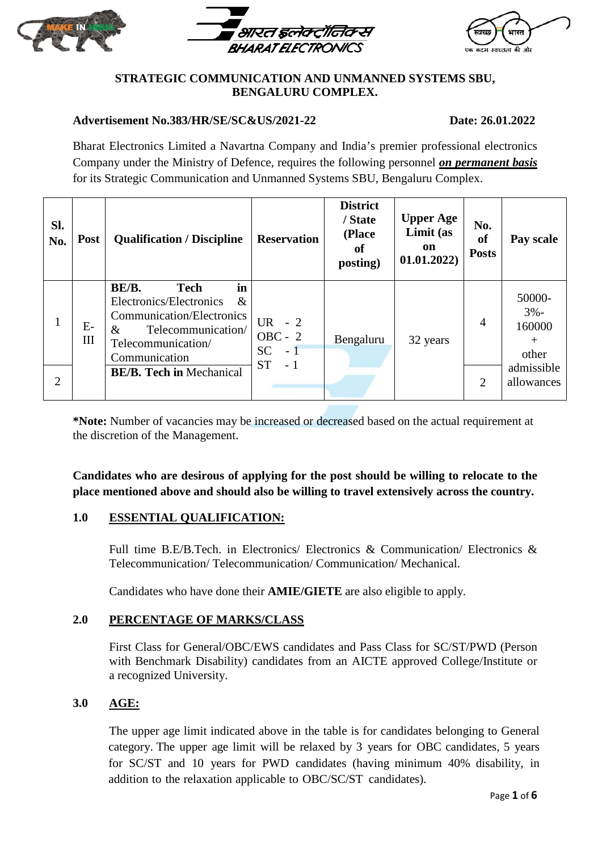





#### **STRATEGIC COMMUNICATION AND UNMANNED SYSTEMS SBU, BENGALURU COMPLEX.**

#### **Advertisement No.383/HR/SE/SC&US/2021-22 Date: 26.01.2022**

Bharat Electronics Limited a Navartna Company and India's premier professional electronics Company under the Ministry of Defence, requires the following personnel *on permanent basis* for its Strategic Communication and Unmanned Systems SBU, Bengaluru Complex.

| SI.<br>No. | <b>Post</b> | <b>Qualification / Discipline</b>                                                                                                                         | <b>Reservation</b>                                                  | <b>District</b><br>/ State<br>(Place<br>of<br>posting) | <b>Upper Age</b><br>Limit (as<br>on<br>01.01.2022) | No.<br>of<br><b>Posts</b> | Pay scale                                                                 |
|------------|-------------|-----------------------------------------------------------------------------------------------------------------------------------------------------------|---------------------------------------------------------------------|--------------------------------------------------------|----------------------------------------------------|---------------------------|---------------------------------------------------------------------------|
|            | $E-$<br>III | in<br>BE/B.<br><b>Tech</b><br>Electronics/Electronics<br>&<br>Communication/Electronics<br>Telecommunication/<br>&<br>Telecommunication/<br>Communication | UR $-2$<br>$OBC - 2$<br><b>SC</b><br>$-1$ <sup>1</sup><br><b>ST</b> | Bengaluru                                              | 32 years                                           | $\overline{A}$            | 50000-<br>$3% -$<br>160000<br>$^{+}$<br>other<br>admissible<br>allowances |
| 2          |             | <b>BE/B. Tech in Mechanical</b>                                                                                                                           | $-1$                                                                |                                                        |                                                    | $\overline{2}$            |                                                                           |

**\*Note:** Number of vacancies may be increased or decreased based on the actual requirement at the discretion of the Management.

**Candidates who are desirous of applying for the post should be willing to relocate to the place mentioned above and should also be willing to travel extensively across the country.** 

# **1.0 ESSENTIAL QUALIFICATION:**

Full time B.E/B.Tech. in Electronics/ Electronics & Communication/ Electronics & Telecommunication/ Telecommunication/ Communication/ Mechanical.

Candidates who have done their **AMIE/GIETE** are also eligible to apply.

# **2.0 PERCENTAGE OF MARKS/CLASS**

First Class for General/OBC/EWS candidates and Pass Class for SC/ST/PWD (Person with Benchmark Disability) candidates from an AICTE approved College/Institute or a recognized University.

# **3.0 AGE:**

The upper age limit indicated above in the table is for candidates belonging to General category. The upper age limit will be relaxed by 3 years for OBC candidates, 5 years for SC/ST and 10 years for PWD candidates (having minimum 40% disability, in addition to the relaxation applicable to OBC/SC/ST candidates).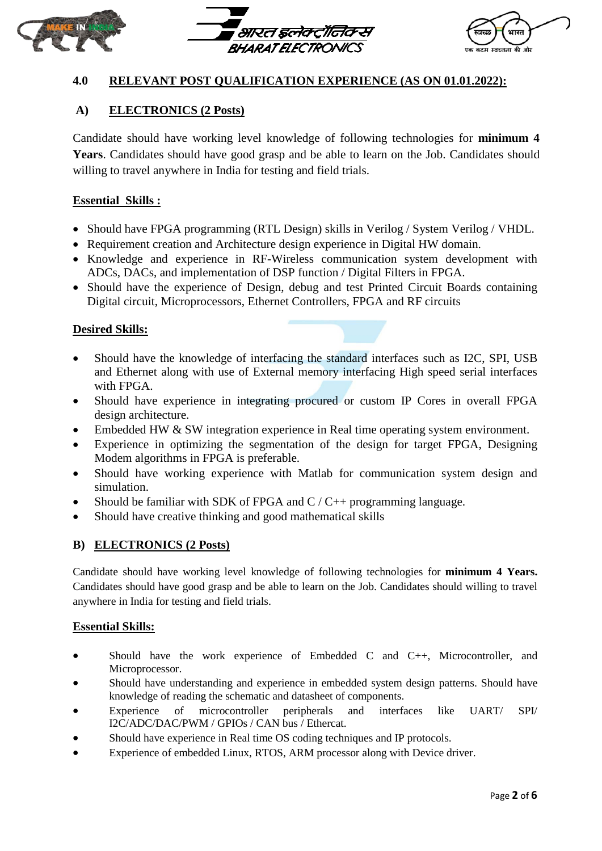





# **4.0 RELEVANT POST QUALIFICATION EXPERIENCE (AS ON 01.01.2022):**

# **A) ELECTRONICS (2 Posts)**

Candidate should have working level knowledge of following technologies for **minimum 4** Years. Candidates should have good grasp and be able to learn on the Job. Candidates should willing to travel anywhere in India for testing and field trials.

## **Essential Skills :**

- Should have FPGA programming (RTL Design) skills in Verilog / System Verilog / VHDL.
- Requirement creation and Architecture design experience in Digital HW domain.
- Knowledge and experience in RF-Wireless communication system development with ADCs, DACs, and implementation of DSP function / Digital Filters in FPGA.
- Should have the experience of Design, debug and test Printed Circuit Boards containing Digital circuit, Microprocessors, Ethernet Controllers, FPGA and RF circuits

#### **Desired Skills:**

- Should have the knowledge of interfacing the standard interfaces such as I2C, SPI, USB and Ethernet along with use of External memory interfacing High speed serial interfaces with FPGA.
- Should have experience in integrating procured or custom IP Cores in overall FPGA design architecture.
- Embedded HW & SW integration experience in Real time operating system environment.
- Experience in optimizing the segmentation of the design for target FPGA, Designing Modem algorithms in FPGA is preferable.
- Should have working experience with Matlab for communication system design and simulation.
- Should be familiar with SDK of FPGA and  $C/C++$  programming language.
- Should have creative thinking and good mathematical skills

#### **B) ELECTRONICS (2 Posts)**

Candidate should have working level knowledge of following technologies for **minimum 4 Years.** Candidates should have good grasp and be able to learn on the Job. Candidates should willing to travel anywhere in India for testing and field trials.

#### **Essential Skills:**

- Should have the work experience of Embedded C and C++, Microcontroller, and Microprocessor.
- Should have understanding and experience in embedded system design patterns. Should have knowledge of reading the schematic and datasheet of components.
- Experience of microcontroller peripherals and interfaces like UART/ SPI/ I2C/ADC/DAC/PWM / GPIOs / CAN bus / Ethercat.
- Should have experience in Real time OS coding techniques and IP protocols.
- Experience of embedded Linux, RTOS, ARM processor along with Device driver.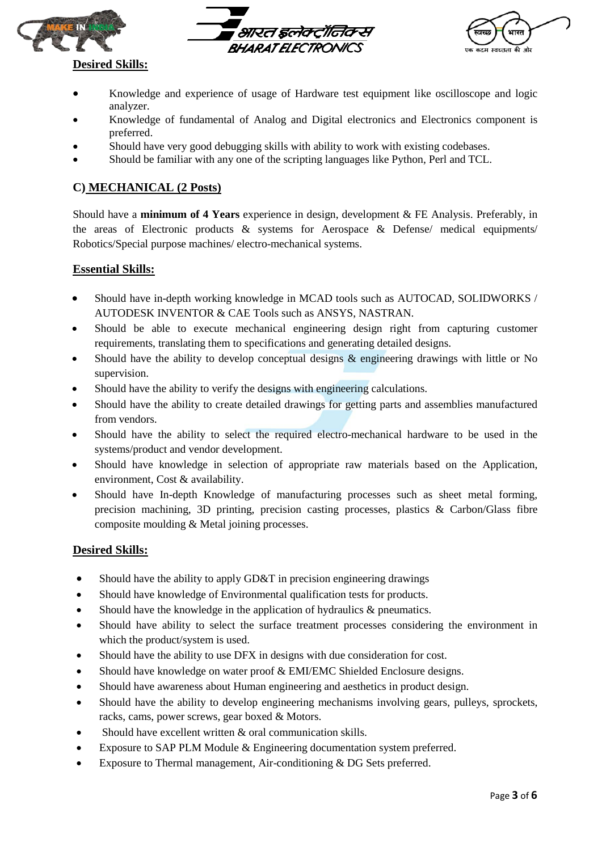





# **Desired Skills:**

- Knowledge and experience of usage of Hardware test equipment like oscilloscope and logic analyzer.
- Knowledge of fundamental of Analog and Digital electronics and Electronics component is preferred.
- Should have very good debugging skills with ability to work with existing codebases.
- Should be familiar with any one of the scripting languages like Python, Perl and TCL.

# **C) MECHANICAL (2 Posts)**

Should have a **minimum of 4 Years** experience in design, development & FE Analysis. Preferably, in the areas of Electronic products  $\&$  systems for Aerospace  $\&$  Defense/ medical equipments/ Robotics/Special purpose machines/ electro-mechanical systems.

#### **Essential Skills:**

- Should have in-depth working knowledge in MCAD tools such as AUTOCAD, SOLIDWORKS / AUTODESK INVENTOR & CAE Tools such as ANSYS, NASTRAN.
- Should be able to execute mechanical engineering design right from capturing customer requirements, translating them to specifications and generating detailed designs.
- Should have the ability to develop conceptual designs & engineering drawings with little or No supervision.
- Should have the ability to verify the designs with engineering calculations.
- Should have the ability to create detailed drawings for getting parts and assemblies manufactured from vendors.
- Should have the ability to select the required electro-mechanical hardware to be used in the systems/product and vendor development.
- Should have knowledge in selection of appropriate raw materials based on the Application, environment, Cost & availability.
- Should have In-depth Knowledge of manufacturing processes such as sheet metal forming, precision machining, 3D printing, precision casting processes, plastics & Carbon/Glass fibre composite moulding & Metal joining processes.

#### **Desired Skills:**

- Should have the ability to apply GD&T in precision engineering drawings
- Should have knowledge of Environmental qualification tests for products.
- Should have the knowledge in the application of hydraulics  $\&$  pneumatics.
- Should have ability to select the surface treatment processes considering the environment in which the product/system is used.
- Should have the ability to use DFX in designs with due consideration for cost.
- Should have knowledge on water proof & EMI/EMC Shielded Enclosure designs.
- Should have awareness about Human engineering and aesthetics in product design.
- Should have the ability to develop engineering mechanisms involving gears, pulleys, sprockets, racks, cams, power screws, gear boxed & Motors.
- Should have excellent written  $&$  oral communication skills.
- Exposure to SAP PLM Module & Engineering documentation system preferred.
- Exposure to Thermal management, Air-conditioning & DG Sets preferred.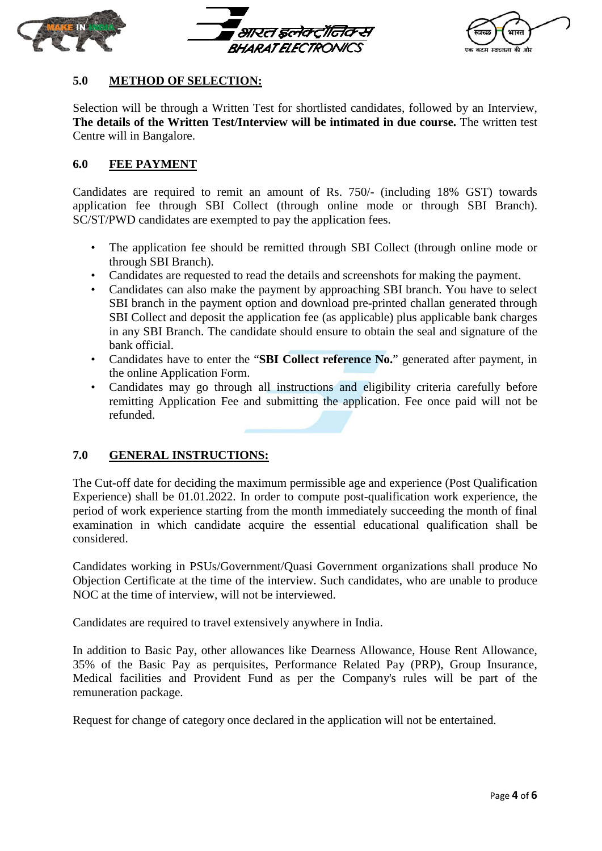





## **5.0 METHOD OF SELECTION:**

Selection will be through a Written Test for shortlisted candidates, followed by an Interview, **The details of the Written Test/Interview will be intimated in due course.** The written test Centre will in Bangalore.

#### **6.0 FEE PAYMENT**

Candidates are required to remit an amount of Rs. 750/- (including 18% GST) towards application fee through SBI Collect (through online mode or through SBI Branch). SC/ST/PWD candidates are exempted to pay the application fees.

- The application fee should be remitted through SBI Collect (through online mode or through SBI Branch).
- Candidates are requested to read the details and screenshots for making the payment.
- Candidates can also make the payment by approaching SBI branch. You have to select SBI branch in the payment option and download pre-printed challan generated through SBI Collect and deposit the application fee (as applicable) plus applicable bank charges in any SBI Branch. The candidate should ensure to obtain the seal and signature of the bank official.
- Candidates have to enter the "**SBI Collect reference No.**" generated after payment, in the online Application Form.
- Candidates may go through all instructions and eligibility criteria carefully before remitting Application Fee and submitting the application. Fee once paid will not be refunded.

#### **7.0 GENERAL INSTRUCTIONS:**

The Cut-off date for deciding the maximum permissible age and experience (Post Qualification Experience) shall be 01.01.2022. In order to compute post-qualification work experience, the period of work experience starting from the month immediately succeeding the month of final examination in which candidate acquire the essential educational qualification shall be considered.

Candidates working in PSUs/Government/Quasi Government organizations shall produce No Objection Certificate at the time of the interview. Such candidates, who are unable to produce NOC at the time of interview, will not be interviewed.

Candidates are required to travel extensively anywhere in India.

In addition to Basic Pay, other allowances like Dearness Allowance, House Rent Allowance, 35% of the Basic Pay as perquisites, Performance Related Pay (PRP), Group Insurance, Medical facilities and Provident Fund as per the Company's rules will be part of the remuneration package.

Request for change of category once declared in the application will not be entertained.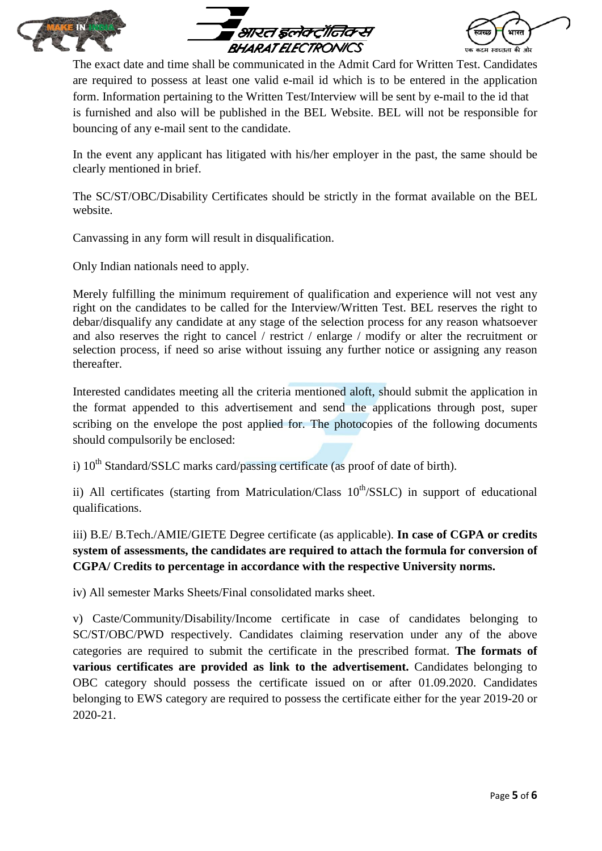





The exact date and time shall be communicated in the Admit Card for Written Test. Candidates are required to possess at least one valid e-mail id which is to be entered in the application form. Information pertaining to the Written Test/Interview will be sent by e-mail to the id that is furnished and also will be published in the BEL Website. BEL will not be responsible for bouncing of any e-mail sent to the candidate.

In the event any applicant has litigated with his/her employer in the past, the same should be clearly mentioned in brief.

The SC/ST/OBC/Disability Certificates should be strictly in the format available on the BEL website.

Canvassing in any form will result in disqualification.

Only Indian nationals need to apply.

Merely fulfilling the minimum requirement of qualification and experience will not vest any right on the candidates to be called for the Interview/Written Test. BEL reserves the right to debar/disqualify any candidate at any stage of the selection process for any reason whatsoever and also reserves the right to cancel / restrict / enlarge / modify or alter the recruitment or selection process, if need so arise without issuing any further notice or assigning any reason thereafter.

Interested candidates meeting all the criteria mentioned aloft, should submit the application in the format appended to this advertisement and send the applications through post, super scribing on the envelope the post applied for. The photocopies of the following documents should compulsorily be enclosed:

i)  $10<sup>th</sup> Standard/SSLC$  marks card/passing certificate (as proof of date of birth).

ii) All certificates (starting from Matriculation/Class  $10^{th}/SSLC$ ) in support of educational qualifications.

iii) B.E/ B.Tech./AMIE/GIETE Degree certificate (as applicable). **In case of CGPA or credits system of assessments, the candidates are required to attach the formula for conversion of CGPA/ Credits to percentage in accordance with the respective University norms.** 

iv) All semester Marks Sheets/Final consolidated marks sheet.

v) Caste/Community/Disability/Income certificate in case of candidates belonging to SC/ST/OBC/PWD respectively. Candidates claiming reservation under any of the above categories are required to submit the certificate in the prescribed format. **The formats of various certificates are provided as link to the advertisement.** Candidates belonging to OBC category should possess the certificate issued on or after 01.09.2020. Candidates belonging to EWS category are required to possess the certificate either for the year 2019-20 or 2020-21.